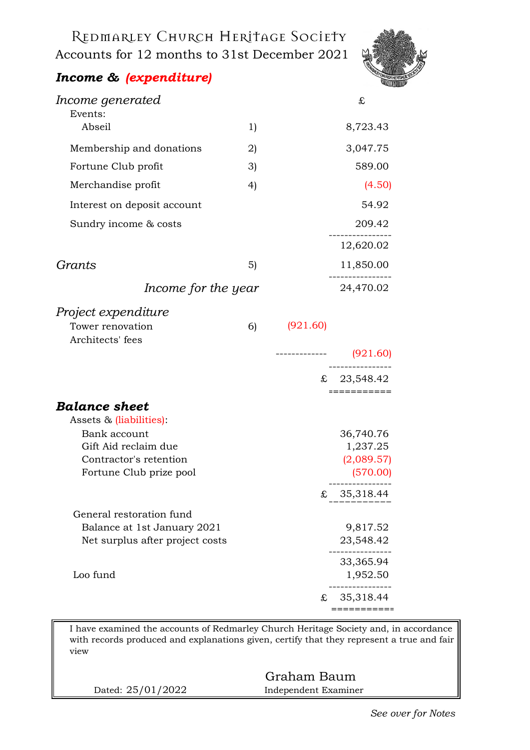Redmarley Church Heritage Society Accounts for 12 months to 31st December 2021



## *Income & (expenditure)*

| Income generated                                |    |          | £             |
|-------------------------------------------------|----|----------|---------------|
| Events:                                         |    |          |               |
| Abseil                                          | 1) |          | 8,723.43      |
| Membership and donations                        | 2) |          | 3,047.75      |
| Fortune Club profit                             | 3) |          | 589.00        |
| Merchandise profit                              | 4) |          | (4.50)        |
| Interest on deposit account                     |    |          | 54.92         |
| Sundry income & costs                           |    |          | 209.42        |
|                                                 |    |          | 12,620.02     |
| Grants                                          | 5) |          | 11,850.00     |
| Income for the year                             |    |          | 24,470.02     |
| Project expenditure                             |    |          |               |
| Tower renovation<br>Architects' fees            | 6) | (921.60) |               |
|                                                 |    |          |               |
|                                                 |    |          | £ $23,548.42$ |
|                                                 |    |          | ===========   |
| <b>Balance sheet</b><br>Assets & (liabilities): |    |          |               |
| Bank account                                    |    |          | 36,740.76     |
| Gift Aid reclaim due                            |    |          | 1,237.25      |
| Contractor's retention                          |    |          | (2,089.57)    |
| Fortune Club prize pool                         |    |          | (570.00)      |
|                                                 |    | £        | 35,318.44     |
| General restoration fund                        |    |          |               |
| Balance at 1st January 2021                     |    |          | 9,817.52      |
| Net surplus after project costs                 |    |          | 23,548.42     |
|                                                 |    |          | 33,365.94     |
| Loo fund                                        |    |          | 1,952.50      |
|                                                 |    | £        | 35,318.44     |
|                                                 |    |          | ----------    |

I have examined the accounts of Redmarley Church Heritage Society and, in accordance with records produced and explanations given, certify that they represent a true and fair view

|                   | Graham Baum          |  |
|-------------------|----------------------|--|
| Dated: 25/01/2022 | Independent Examiner |  |
|                   |                      |  |